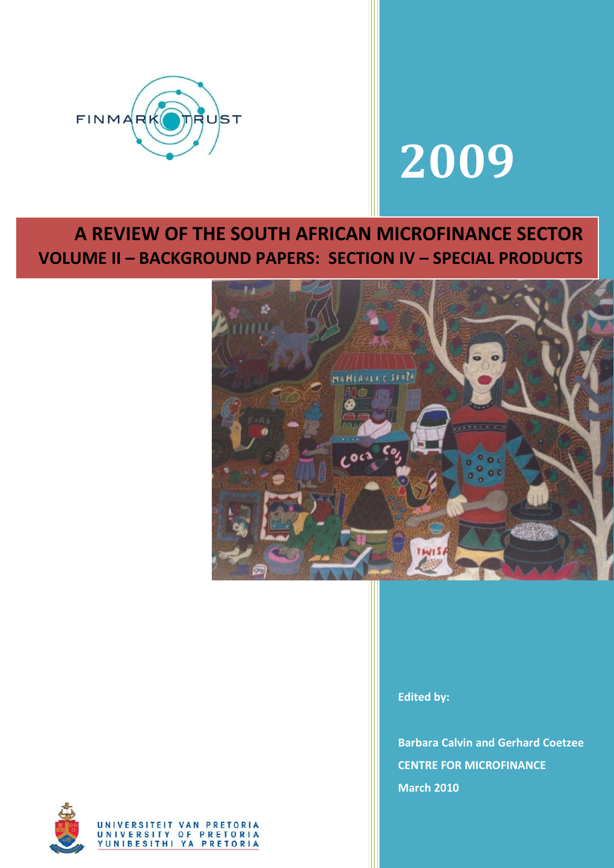

# **2009**

## **A REVIEW OF THE SOUTH AFRICAN MICROFINANCE SECTOR VOLUME II – BACKGROUND PAPERS: SECTION IV – SPECIAL PRODUCTS**



**Edited by:**

**Barbara Calvin and Gerhard Coetzee CENTRE FOR MICROFINANCE March 2010**

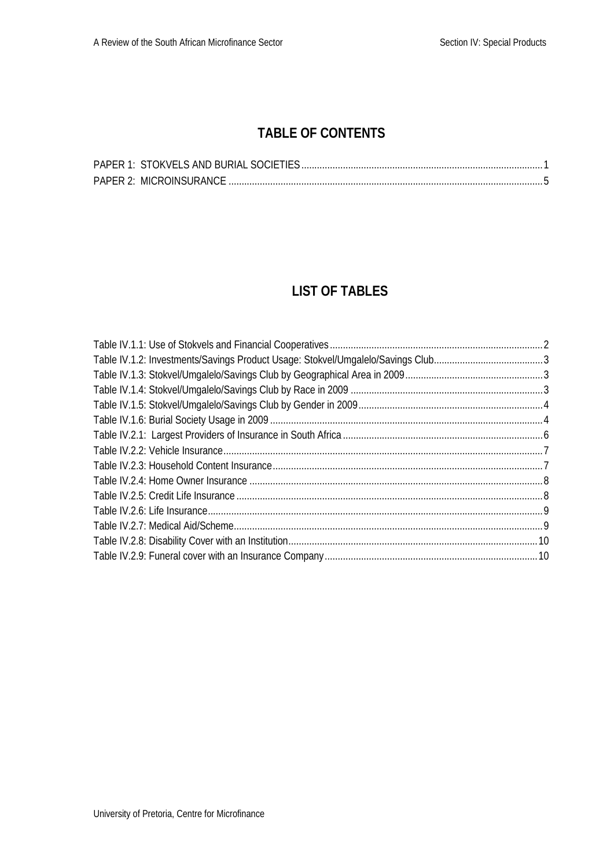## **TABLE OF CONTENTS**

## **LIST OF TABLES**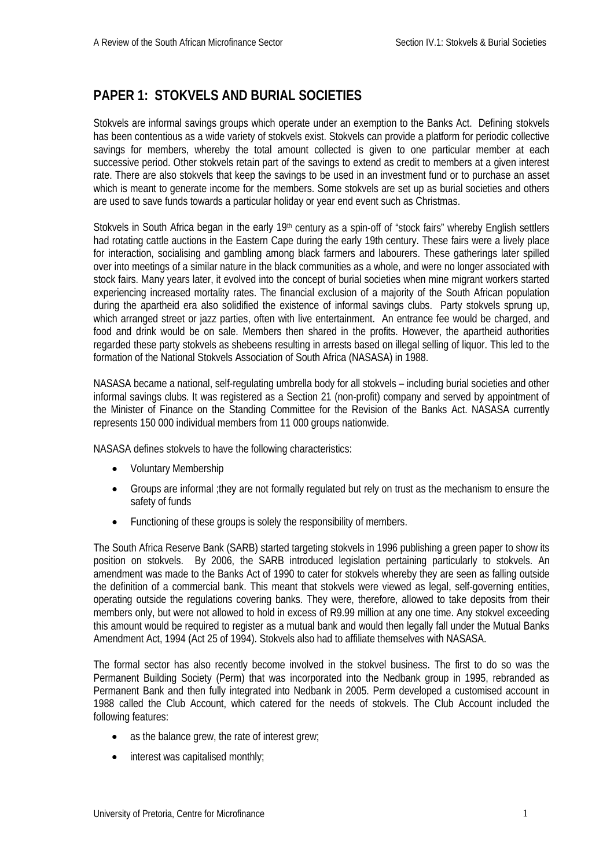## <span id="page-2-0"></span>**PAPER 1: STOKVELS AND BURIAL SOCIETIES**

Stokvels are informal savings groups which operate under an exemption to the Banks Act. Defining stokvels has been contentious as a wide variety of stokvels exist. Stokvels can provide a platform for periodic collective savings for members, whereby the total amount collected is given to one particular member at each successive period. Other stokvels retain part of the savings to extend as credit to members at a given interest rate. There are also stokvels that keep the savings to be used in an investment fund or to purchase an asset which is meant to generate income for the members. Some stokvels are set up as burial societies and others are used to save funds towards a particular holiday or year end event such as Christmas.

Stokvels in South Africa began in the early 19<sup>th</sup> century as a spin-off of "stock fairs" whereby English settlers had rotating cattle auctions in the Eastern Cape during the early 19th century. These fairs were a lively place for interaction, socialising and gambling among black farmers and labourers. These gatherings later spilled over into meetings of a similar nature in the black communities as a whole, and were no longer associated with stock fairs. Many years later, it evolved into the concept of burial societies when mine migrant workers started experiencing increased mortality rates. The financial exclusion of a majority of the South African population during the apartheid era also solidified the existence of informal savings clubs. Party stokvels sprung up, which arranged street or jazz parties, often with live entertainment. An entrance fee would be charged, and food and drink would be on sale. Members then shared in the profits. However, the apartheid authorities regarded these party stokvels as shebeens resulting in arrests based on illegal selling of liquor. This led to the formation of the National Stokvels Association of South Africa (NASASA) in 1988.

NASASA became a national, self-regulating umbrella body for all stokvels – including burial societies and other informal savings clubs. It was registered as a Section 21 (non-profit) company and served by appointment of the Minister of Finance on the Standing Committee for the Revision of the Banks Act. NASASA currently represents 150 000 individual members from 11 000 groups nationwide.

NASASA defines stokvels to have the following characteristics:

- Voluntary Membership
- Groups are informal ;they are not formally regulated but rely on trust as the mechanism to ensure the safety of funds
- Functioning of these groups is solely the responsibility of members.

The South Africa Reserve Bank (SARB) started targeting stokvels in 1996 publishing a green paper to show its position on stokvels. By 2006, the SARB introduced legislation pertaining particularly to stokvels. An amendment was made to the Banks Act of 1990 to cater for stokvels whereby they are seen as falling outside the definition of a commercial bank. This meant that stokvels were viewed as legal, self-governing entities, operating outside the regulations covering banks. They were, therefore, allowed to take deposits from their members only, but were not allowed to hold in excess of R9.99 million at any one time. Any stokvel exceeding this amount would be required to register as a mutual bank and would then legally fall under the Mutual Banks Amendment Act, 1994 (Act 25 of 1994). Stokvels also had to affiliate themselves with NASASA.

The formal sector has also recently become involved in the stokvel business. The first to do so was the Permanent Building Society (Perm) that was incorporated into the Nedbank group in 1995, rebranded as Permanent Bank and then fully integrated into Nedbank in 2005. Perm developed a customised account in 1988 called the Club Account, which catered for the needs of stokvels. The Club Account included the following features:

- as the balance grew, the rate of interest grew;
- interest was capitalised monthly;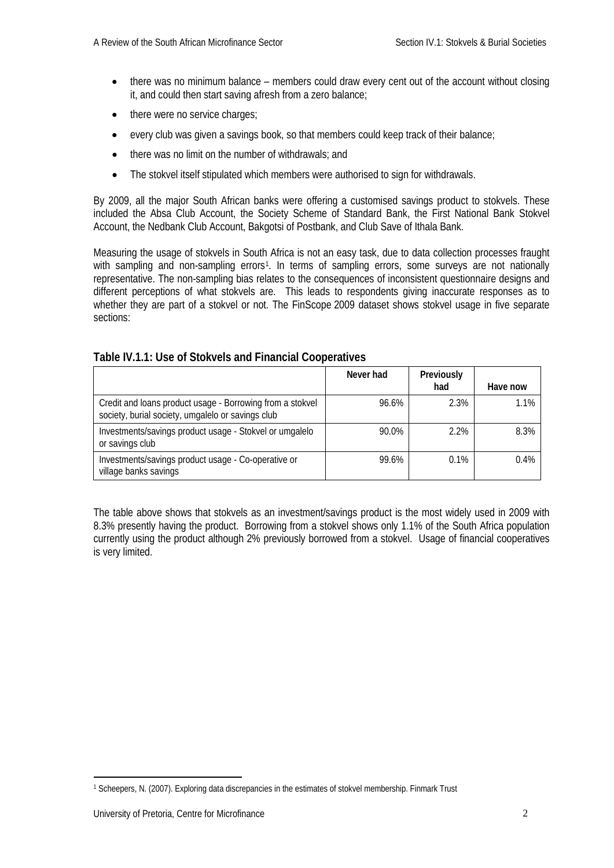- there was no minimum balance members could draw every cent out of the account without closing it, and could then start saving afresh from a zero balance;
- there were no service charges;
- every club was given a savings book, so that members could keep track of their balance;
- there was no limit on the number of withdrawals: and
- The stokvel itself stipulated which members were authorised to sign for withdrawals.

By 2009, all the major South African banks were offering a customised savings product to stokvels. These included the Absa Club Account, the Society Scheme of Standard Bank, the First National Bank Stokvel Account, the Nedbank Club Account, Bakgotsi of Postbank, and Club Save of Ithala Bank.

Measuring the usage of stokvels in South Africa is not an easy task, due to data collection processes fraught with sampling and non-sampling errors<sup>[1](#page-3-1)</sup>. In terms of sampling errors, some surveys are not nationally representative. The non-sampling bias relates to the consequences of inconsistent questionnaire designs and different perceptions of what stokvels are. This leads to respondents giving inaccurate responses as to whether they are part of a stokvel or not. The FinScope 2009 dataset shows stokvel usage in five separate sections:

|                                                                                                                | Never had | Previously<br>had | Have now |
|----------------------------------------------------------------------------------------------------------------|-----------|-------------------|----------|
| Credit and loans product usage - Borrowing from a stokvel<br>society, burial society, umgalelo or savings club | 96.6%     | 2.3%              | 1.1%     |
| Investments/savings product usage - Stokvel or umgalelo<br>or savings club                                     | 90.0%     | 2.2%              | 8.3%     |
| Investments/savings product usage - Co-operative or<br>village banks savings                                   | 99.6%     | 0.1%              | 0.4%     |

#### <span id="page-3-0"></span>**Table IV.1.1: Use of Stokvels and Financial Cooperatives**

The table above shows that stokvels as an investment/savings product is the most widely used in 2009 with 8.3% presently having the product. Borrowing from a stokvel shows only 1.1% of the South Africa population currently using the product although 2% previously borrowed from a stokvel. Usage of financial cooperatives is very limited.

<span id="page-3-1"></span><sup>&</sup>lt;u>.</u> <sup>1</sup> Scheepers, N. (2007). Exploring data discrepancies in the estimates of stokvel membership. Finmark Trust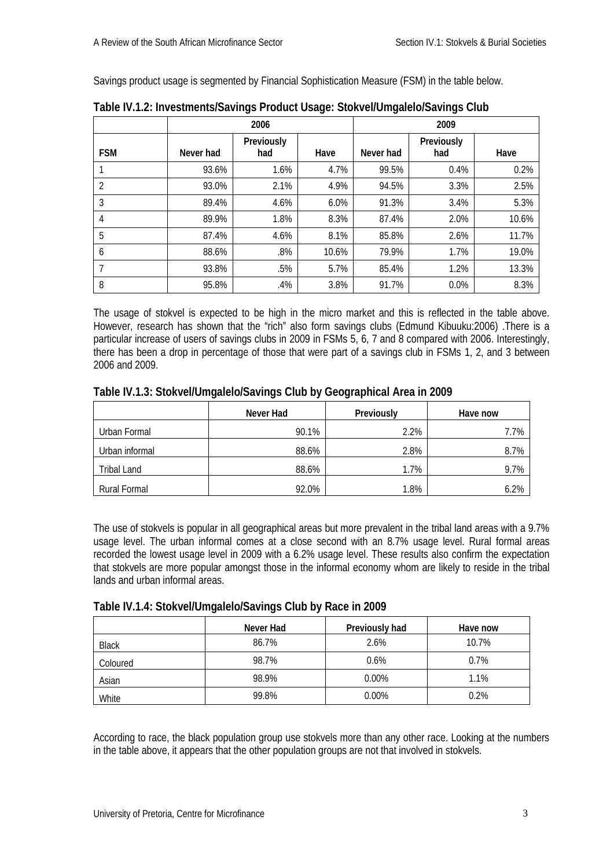Savings product usage is segmented by Financial Sophistication Measure (FSM) in the table below.

|                |           | 2006<br>2009      |       |           |                   |       |
|----------------|-----------|-------------------|-------|-----------|-------------------|-------|
| <b>FSM</b>     | Never had | Previously<br>had | Have  | Never had | Previously<br>had | Have  |
|                | 93.6%     | 1.6%              | 4.7%  | 99.5%     | 0.4%              | 0.2%  |
| $\overline{2}$ | 93.0%     | 2.1%              | 4.9%  | 94.5%     | 3.3%              | 2.5%  |
| 3              | 89.4%     | 4.6%              | 6.0%  | 91.3%     | 3.4%              | 5.3%  |
| 4              | 89.9%     | 1.8%              | 8.3%  | 87.4%     | 2.0%              | 10.6% |
| 5              | 87.4%     | 4.6%              | 8.1%  | 85.8%     | 2.6%              | 11.7% |
| 6              | 88.6%     | .8%               | 10.6% | 79.9%     | 1.7%              | 19.0% |
|                | 93.8%     | .5%               | 5.7%  | 85.4%     | 1.2%              | 13.3% |
| 8              | 95.8%     | .4%               | 3.8%  | 91.7%     | 0.0%              | 8.3%  |

<span id="page-4-0"></span>**Table IV.1.2: Investments/Savings Product Usage: Stokvel/Umgalelo/Savings Club**

The usage of stokvel is expected to be high in the micro market and this is reflected in the table above. However, research has shown that the "rich" also form savings clubs (Edmund Kibuuku:2006) .There is a particular increase of users of savings clubs in 2009 in FSMs 5, 6, 7 and 8 compared with 2006. Interestingly, there has been a drop in percentage of those that were part of a savings club in FSMs 1, 2, and 3 between 2006 and 2009.

### <span id="page-4-1"></span>**Table IV.1.3: Stokvel/Umgalelo/Savings Club by Geographical Area in 2009**

|                | Never Had | Previously | Have now |
|----------------|-----------|------------|----------|
| Urban Formal   | 90.1%     | 2.2%       | 7.7%     |
| Urban informal | 88.6%     | 2.8%       | 8.7%     |
| Tribal Land    | 88.6%     | 1.7%       | 9.7%     |
| Rural Formal   | 92.0%     | 1.8%       | 6.2%     |

The use of stokvels is popular in all geographical areas but more prevalent in the tribal land areas with a 9.7% usage level. The urban informal comes at a close second with an 8.7% usage level. Rural formal areas recorded the lowest usage level in 2009 with a 6.2% usage level. These results also confirm the expectation that stokvels are more popular amongst those in the informal economy whom are likely to reside in the tribal lands and urban informal areas.

#### <span id="page-4-2"></span>**Table IV.1.4: Stokvel/Umgalelo/Savings Club by Race in 2009**

|              | Never Had | Previously had | Have now |
|--------------|-----------|----------------|----------|
| <b>Black</b> | 86.7%     | 2.6%           | 10.7%    |
| Coloured     | 98.7%     | 0.6%           | 0.7%     |
| Asian        | 98.9%     | $0.00\%$       | 1.1%     |
| White        | 99.8%     | $0.00\%$       | 0.2%     |

According to race, the black population group use stokvels more than any other race. Looking at the numbers in the table above, it appears that the other population groups are not that involved in stokvels.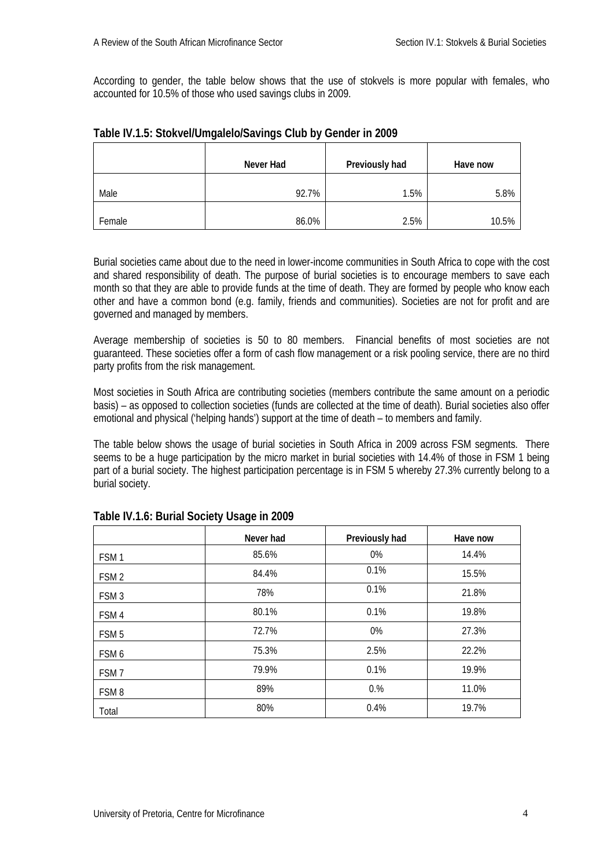According to gender, the table below shows that the use of stokvels is more popular with females, who accounted for 10.5% of those who used savings clubs in 2009.

|        | Never Had | Previously had | Have now |
|--------|-----------|----------------|----------|
| Male   | 92.7%     | 1.5%           | 5.8%     |
| Female | 86.0%     | 2.5%           | 10.5%    |

## <span id="page-5-0"></span>**Table IV.1.5: Stokvel/Umgalelo/Savings Club by Gender in 2009**

Burial societies came about due to the need in lower-income communities in South Africa to cope with the cost and shared responsibility of death. The purpose of burial societies is to encourage members to save each month so that they are able to provide funds at the time of death. They are formed by people who know each other and have a common bond (e.g. family, friends and communities). Societies are not for profit and are governed and managed by members.

Average membership of societies is 50 to 80 members. Financial benefits of most societies are not guaranteed. These societies offer a form of cash flow management or a risk pooling service, there are no third party profits from the risk management.

Most societies in South Africa are contributing societies (members contribute the same amount on a periodic basis) – as opposed to collection societies (funds are collected at the time of death). Burial societies also offer emotional and physical ('helping hands') support at the time of death – to members and family.

The table below shows the usage of burial societies in South Africa in 2009 across FSM segments. There seems to be a huge participation by the micro market in burial societies with 14.4% of those in FSM 1 being part of a burial society. The highest participation percentage is in FSM 5 whereby 27.3% currently belong to a burial society.

|                  | Never had | Previously had | Have now |
|------------------|-----------|----------------|----------|
| FSM <sub>1</sub> | 85.6%     | 0%             | 14.4%    |
| FSM <sub>2</sub> | 84.4%     | 0.1%           | 15.5%    |
| FSM <sub>3</sub> | 78%       | 0.1%           | 21.8%    |
| FSM4             | 80.1%     | 0.1%           | 19.8%    |
| FSM <sub>5</sub> | 72.7%     | 0%             | 27.3%    |
| FSM 6            | 75.3%     | 2.5%           | 22.2%    |
| FSM <sub>7</sub> | 79.9%     | 0.1%           | 19.9%    |
| FSM <sub>8</sub> | 89%       | 0.%            | 11.0%    |
| Total            | 80%       | 0.4%           | 19.7%    |

## <span id="page-5-1"></span>**Table IV.1.6: Burial Society Usage in 2009**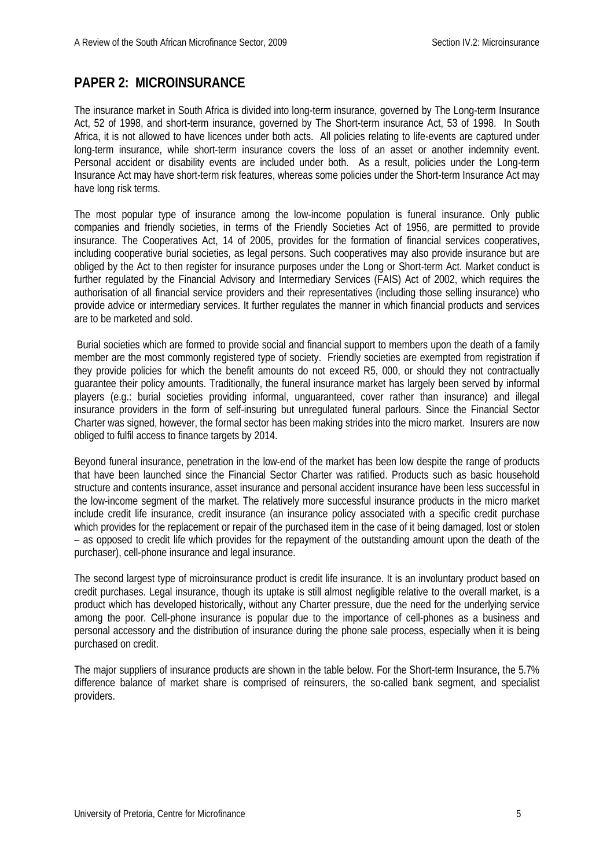## <span id="page-6-0"></span>**PAPER 2: MICROINSURANCE**

The insurance market in South Africa is divided into long-term insurance, governed by The Long-term Insurance Act, 52 of 1998, and short-term insurance, governed by The Short-term insurance Act, 53 of 1998. In South Africa, it is not allowed to have licences under both acts. All policies relating to life-events are captured under long-term insurance, while short-term insurance covers the loss of an asset or another indemnity event. Personal accident or disability events are included under both. As a result, policies under the Long-term Insurance Act may have short-term risk features, whereas some policies under the Short-term Insurance Act may have long risk terms.

The most popular type of insurance among the low-income population is funeral insurance. Only public companies and friendly societies, in terms of the Friendly Societies Act of 1956, are permitted to provide insurance. The Cooperatives Act, 14 of 2005, provides for the formation of financial services cooperatives, including cooperative burial societies, as legal persons. Such cooperatives may also provide insurance but are obliged by the Act to then register for insurance purposes under the Long or Short-term Act. Market conduct is further regulated by the Financial Advisory and Intermediary Services (FAIS) Act of 2002, which requires the authorisation of all financial service providers and their representatives (including those selling insurance) who provide advice or intermediary services. It further regulates the manner in which financial products and services are to be marketed and sold.

Burial societies which are formed to provide social and financial support to members upon the death of a family member are the most commonly registered type of society. Friendly societies are exempted from registration if they provide policies for which the benefit amounts do not exceed R5, 000, or should they not contractually guarantee their policy amounts. Traditionally, the funeral insurance market has largely been served by informal players (e.g.: burial societies providing informal, unguaranteed, cover rather than insurance) and illegal insurance providers in the form of self-insuring but unregulated funeral parlours. Since the Financial Sector Charter was signed, however, the formal sector has been making strides into the micro market. Insurers are now obliged to fulfil access to finance targets by 2014.

Beyond funeral insurance, penetration in the low-end of the market has been low despite the range of products that have been launched since the Financial Sector Charter was ratified. Products such as basic household structure and contents insurance, asset insurance and personal accident insurance have been less successful in the low-income segment of the market. The relatively more successful insurance products in the micro market include credit life insurance, credit insurance (an insurance policy associated with a specific credit purchase which provides for the replacement or repair of the purchased item in the case of it being damaged, lost or stolen – as opposed to credit life which provides for the repayment of the outstanding amount upon the death of the purchaser), cell-phone insurance and legal insurance.

The second largest type of microinsurance product is credit life insurance. It is an involuntary product based on credit purchases. Legal insurance, though its uptake is still almost negligible relative to the overall market, is a product which has developed historically, without any Charter pressure, due the need for the underlying service among the poor. Cell-phone insurance is popular due to the importance of cell-phones as a business and personal accessory and the distribution of insurance during the phone sale process, especially when it is being purchased on credit.

The major suppliers of insurance products are shown in the table below. For the Short-term Insurance, the 5.7% difference balance of market share is comprised of reinsurers, the so-called bank segment, and specialist providers.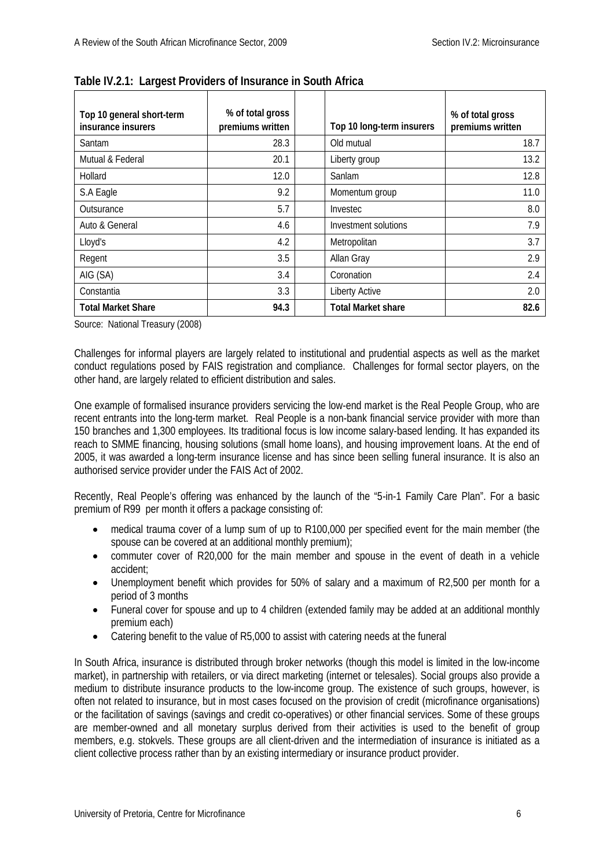| Top 10 general short-term<br>insurance insurers | % of total gross<br>premiums written | Top 10 long-term insurers | % of total gross<br>premiums written |
|-------------------------------------------------|--------------------------------------|---------------------------|--------------------------------------|
| Santam                                          | 28.3                                 | Old mutual                | 18.7                                 |
| Mutual & Federal                                | 20.1                                 | Liberty group             | 13.2                                 |
| Hollard                                         | 12.0                                 | Sanlam                    | 12.8                                 |
| S.A Eagle                                       | 9.2                                  | Momentum group            | 11.0                                 |
| Outsurance                                      | 5.7                                  | Investec                  | 8.0                                  |
| Auto & General                                  | 4.6                                  | Investment solutions      | 7.9                                  |
| Lloyd's                                         | 4.2                                  | Metropolitan              | 3.7                                  |
| Regent                                          | 3.5                                  | Allan Gray                | 2.9                                  |
| AIG (SA)                                        | 3.4                                  | Coronation                | 2.4                                  |
| Constantia                                      | 3.3                                  | <b>Liberty Active</b>     | 2.0                                  |
| <b>Total Market Share</b>                       | 94.3                                 | <b>Total Market share</b> | 82.6                                 |

<span id="page-7-0"></span>**Table IV.2.1: Largest Providers of Insurance in South Africa**

Source: National Treasury (2008)

Challenges for informal players are largely related to institutional and prudential aspects as well as the market conduct regulations posed by FAIS registration and compliance. Challenges for formal sector players, on the other hand, are largely related to efficient distribution and sales.

One example of formalised insurance providers servicing the low-end market is the Real People Group, who are recent entrants into the long-term market. Real People is a non-bank financial service provider with more than 150 branches and 1,300 employees. Its traditional focus is low income salary-based lending. It has expanded its reach to SMME financing, housing solutions (small home loans), and housing improvement loans. At the end of 2005, it was awarded a long-term insurance license and has since been selling funeral insurance. It is also an authorised service provider under the FAIS Act of 2002.

Recently, Real People's offering was enhanced by the launch of the "5-in-1 Family Care Plan". For a basic premium of R99 per month it offers a package consisting of:

- medical trauma cover of a lump sum of up to R100,000 per specified event for the main member (the spouse can be covered at an additional monthly premium);
- commuter cover of R20,000 for the main member and spouse in the event of death in a vehicle accident;
- Unemployment benefit which provides for 50% of salary and a maximum of R2,500 per month for a period of 3 months
- Funeral cover for spouse and up to 4 children (extended family may be added at an additional monthly premium each)
- Catering benefit to the value of R5,000 to assist with catering needs at the funeral

In South Africa, insurance is distributed through broker networks (though this model is limited in the low-income market), in partnership with retailers, or via direct marketing (internet or telesales). Social groups also provide a medium to distribute insurance products to the low-income group. The existence of such groups, however, is often not related to insurance, but in most cases focused on the provision of credit (microfinance organisations) or the facilitation of savings (savings and credit co-operatives) or other financial services. Some of these groups are member-owned and all monetary surplus derived from their activities is used to the benefit of group members, e.g. stokvels. These groups are all client-driven and the intermediation of insurance is initiated as a client collective process rather than by an existing intermediary or insurance product provider.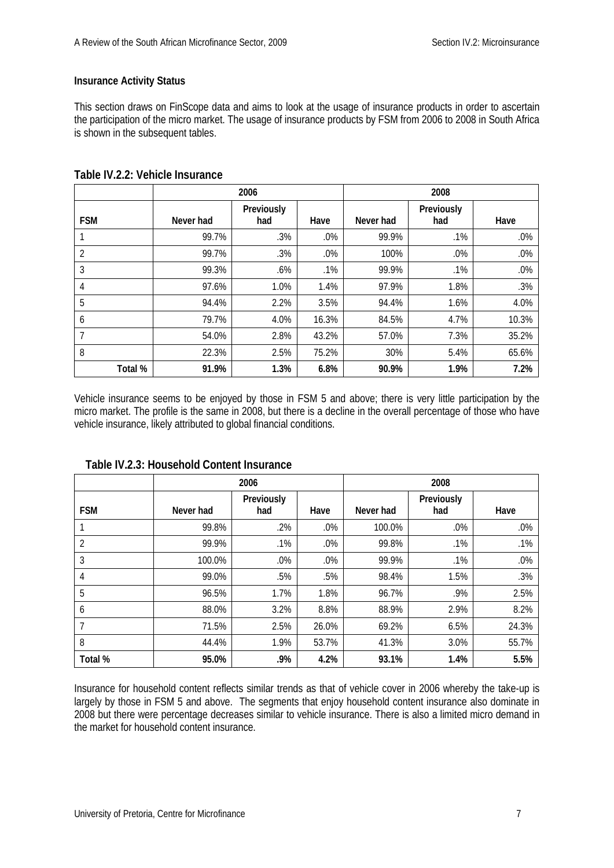### **Insurance Activity Status**

This section draws on FinScope data and aims to look at the usage of insurance products in order to ascertain the participation of the micro market. The usage of insurance products by FSM from 2006 to 2008 in South Africa is shown in the subsequent tables.

|                |           | 2006              |        | 2008      |                   |       |
|----------------|-----------|-------------------|--------|-----------|-------------------|-------|
| <b>FSM</b>     | Never had | Previously<br>had | Have   | Never had | Previously<br>had | Have  |
|                | 99.7%     | .3%               | .0%    | 99.9%     | .1%               | .0%   |
| 2              | 99.7%     | .3%               | $.0\%$ | 100%      | .0%               | .0%   |
| 3              | 99.3%     | .6%               | .1%    | 99.9%     | .1%               | .0%   |
| $\overline{4}$ | 97.6%     | 1.0%              | 1.4%   | 97.9%     | 1.8%              | .3%   |
| 5              | 94.4%     | 2.2%              | 3.5%   | 94.4%     | 1.6%              | 4.0%  |
| 6              | 79.7%     | 4.0%              | 16.3%  | 84.5%     | 4.7%              | 10.3% |
| 7              | 54.0%     | 2.8%              | 43.2%  | 57.0%     | 7.3%              | 35.2% |
| 8              | 22.3%     | 2.5%              | 75.2%  | 30%       | 5.4%              | 65.6% |
| Total %        | 91.9%     | 1.3%              | 6.8%   | 90.9%     | 1.9%              | 7.2%  |

## <span id="page-8-0"></span>**Table IV.2.2: Vehicle Insurance**

Vehicle insurance seems to be enjoyed by those in FSM 5 and above; there is very little participation by the micro market. The profile is the same in 2008, but there is a decline in the overall percentage of those who have vehicle insurance, likely attributed to global financial conditions.

|            | 2006      |                   |        |           | 2008              |       |
|------------|-----------|-------------------|--------|-----------|-------------------|-------|
| <b>FSM</b> | Never had | Previously<br>had | Have   | Never had | Previously<br>had | Have  |
|            | 99.8%     | .2%               | $.0\%$ | 100.0%    | $.0\%$            | .0%   |
| 2          | 99.9%     | .1%               | $.0\%$ | 99.8%     | .1%               | .1%   |
| 3          | 100.0%    | .0%               | $.0\%$ | 99.9%     | .1%               | .0%   |
| 4          | 99.0%     | .5%               | .5%    | 98.4%     | 1.5%              | .3%   |
| 5          | 96.5%     | 1.7%              | 1.8%   | 96.7%     | .9%               | 2.5%  |
| 6          | 88.0%     | 3.2%              | 8.8%   | 88.9%     | 2.9%              | 8.2%  |
| 7          | 71.5%     | 2.5%              | 26.0%  | 69.2%     | 6.5%              | 24.3% |
| 8          | 44.4%     | 1.9%              | 53.7%  | 41.3%     | 3.0%              | 55.7% |
| Total %    | 95.0%     | .9%               | 4.2%   | 93.1%     | 1.4%              | 5.5%  |

## <span id="page-8-1"></span> **Table IV.2.3: Household Content Insurance**

Insurance for household content reflects similar trends as that of vehicle cover in 2006 whereby the take-up is largely by those in FSM 5 and above. The segments that enjoy household content insurance also dominate in 2008 but there were percentage decreases similar to vehicle insurance. There is also a limited micro demand in the market for household content insurance.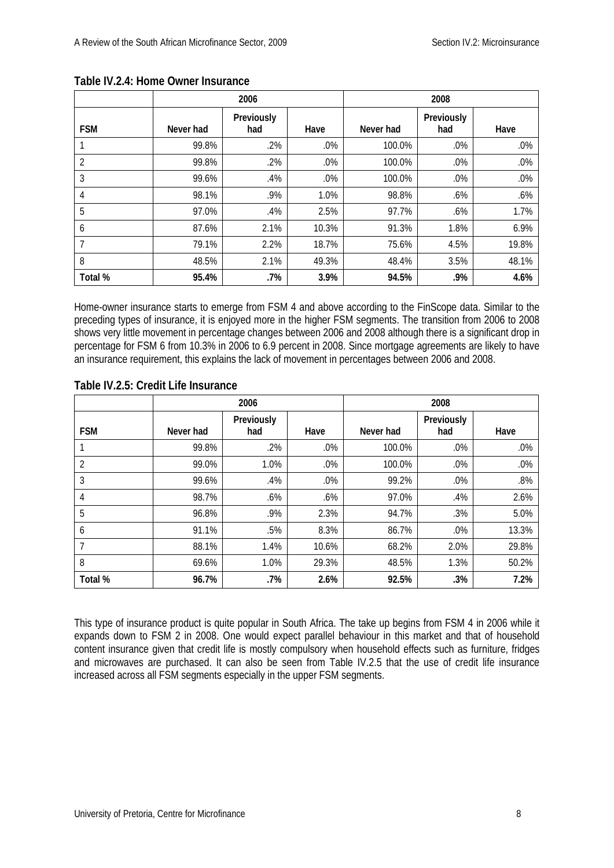|            | 2006      |                   |        |           | 2008              |       |
|------------|-----------|-------------------|--------|-----------|-------------------|-------|
| <b>FSM</b> | Never had | Previously<br>had | Have   | Never had | Previously<br>had | Have  |
|            | 99.8%     | .2%               | .0%    | 100.0%    | $.0\%$            | .0%   |
| 2          | 99.8%     | .2%               | $.0\%$ | 100.0%    | .0%               | .0%   |
| 3          | 99.6%     | .4%               | $.0\%$ | 100.0%    | .0%               | .0%   |
| 4          | 98.1%     | .9%               | 1.0%   | 98.8%     | .6%               | .6%   |
| 5          | 97.0%     | .4%               | 2.5%   | 97.7%     | .6%               | 1.7%  |
| 6          | 87.6%     | 2.1%              | 10.3%  | 91.3%     | 1.8%              | 6.9%  |
| 7          | 79.1%     | 2.2%              | 18.7%  | 75.6%     | 4.5%              | 19.8% |
| 8          | 48.5%     | 2.1%              | 49.3%  | 48.4%     | 3.5%              | 48.1% |
| Total %    | 95.4%     | .7%               | 3.9%   | 94.5%     | .9%               | 4.6%  |

## <span id="page-9-0"></span>**Table IV.2.4: Home Owner Insurance**

Home-owner insurance starts to emerge from FSM 4 and above according to the FinScope data. Similar to the preceding types of insurance, it is enjoyed more in the higher FSM segments. The transition from 2006 to 2008 shows very little movement in percentage changes between 2006 and 2008 although there is a significant drop in percentage for FSM 6 from 10.3% in 2006 to 6.9 percent in 2008. Since mortgage agreements are likely to have an insurance requirement, this explains the lack of movement in percentages between 2006 and 2008.

|                | 2006      |                   |       | 2008      |                   |       |
|----------------|-----------|-------------------|-------|-----------|-------------------|-------|
| <b>FSM</b>     | Never had | Previously<br>had | Have  | Never had | Previously<br>had | Have  |
|                | 99.8%     | .2%               | .0%   | 100.0%    | .0%               | .0%   |
| $\overline{2}$ | 99.0%     | 1.0%              | .0%   | 100.0%    | .0%               | .0%   |
| 3              | 99.6%     | .4%               | .0%   | 99.2%     | .0%               | .8%   |
| 4              | 98.7%     | $.6\%$            | .6%   | 97.0%     | .4%               | 2.6%  |
| 5              | 96.8%     | .9%               | 2.3%  | 94.7%     | .3%               | 5.0%  |
| 6              | 91.1%     | .5%               | 8.3%  | 86.7%     | .0%               | 13.3% |
| 7              | 88.1%     | 1.4%              | 10.6% | 68.2%     | 2.0%              | 29.8% |
| 8              | 69.6%     | 1.0%              | 29.3% | 48.5%     | 1.3%              | 50.2% |
| Total %        | 96.7%     | .7%               | 2.6%  | 92.5%     | .3%               | 7.2%  |

## <span id="page-9-1"></span>**Table IV.2.5: Credit Life Insurance**

This type of insurance product is quite popular in South Africa. The take up begins from FSM 4 in 2006 while it expands down to FSM 2 in 2008. One would expect parallel behaviour in this market and that of household content insurance given that credit life is mostly compulsory when household effects such as furniture, fridges and microwaves are purchased. It can also be seen from Table IV.2.5 that the use of credit life insurance increased across all FSM segments especially in the upper FSM segments.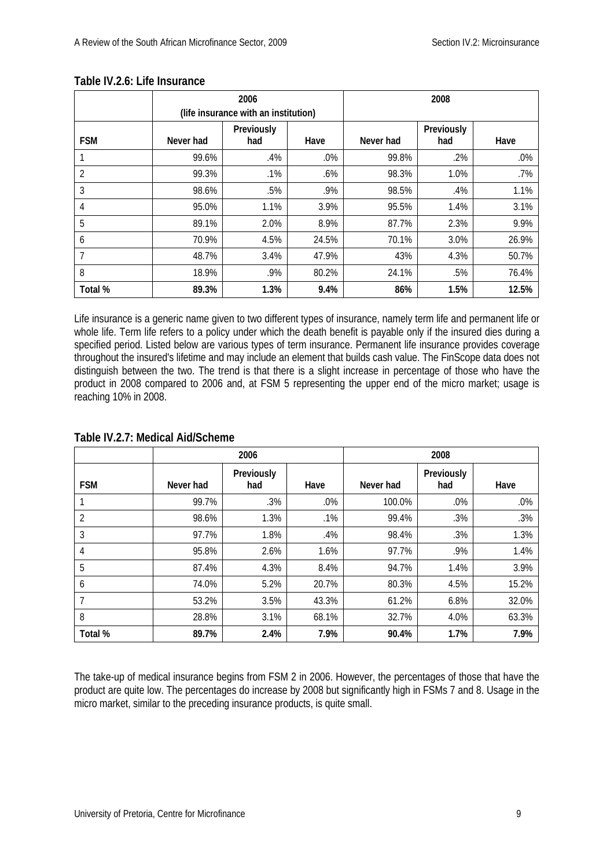|                | 2006<br>(life insurance with an institution) |                   |        | 2008      |                   |       |
|----------------|----------------------------------------------|-------------------|--------|-----------|-------------------|-------|
| <b>FSM</b>     | Never had                                    | Previously<br>had | Have   | Never had | Previously<br>had | Have  |
|                | 99.6%                                        | .4%               | $.0\%$ | 99.8%     | $.2\%$            | .0%   |
| $\overline{2}$ | 99.3%                                        | .1%               | .6%    | 98.3%     | 1.0%              | .7%   |
| 3              | 98.6%                                        | .5%               | .9%    | 98.5%     | .4%               | 1.1%  |
| 4              | 95.0%                                        | 1.1%              | 3.9%   | 95.5%     | 1.4%              | 3.1%  |
| 5              | 89.1%                                        | 2.0%              | 8.9%   | 87.7%     | 2.3%              | 9.9%  |
| 6              | 70.9%                                        | 4.5%              | 24.5%  | 70.1%     | 3.0%              | 26.9% |
| 7              | 48.7%                                        | 3.4%              | 47.9%  | 43%       | 4.3%              | 50.7% |
| 8              | 18.9%                                        | .9%               | 80.2%  | 24.1%     | .5%               | 76.4% |
| Total %        | 89.3%                                        | 1.3%              | 9.4%   | 86%       | 1.5%              | 12.5% |

## <span id="page-10-0"></span>**Table IV.2.6: Life Insurance**

Life insurance is a generic name given to two different types of insurance, namely term life and permanent life or whole life. Term life refers to a policy under which the death benefit is payable only if the insured dies during a specified period. Listed below are various types of term insurance. Permanent life insurance provides coverage throughout the insured's lifetime and may include an element that builds cash value. The FinScope data does not distinguish between the two. The trend is that there is a slight increase in percentage of those who have the product in 2008 compared to 2006 and, at FSM 5 representing the upper end of the micro market; usage is reaching 10% in 2008.

|            | 2006      |                   |        | 2008      |                   |       |
|------------|-----------|-------------------|--------|-----------|-------------------|-------|
| <b>FSM</b> | Never had | Previously<br>had | Have   | Never had | Previously<br>had | Have  |
|            | 99.7%     | .3%               | $.0\%$ | 100.0%    | .0%               | .0%   |
| 2          | 98.6%     | 1.3%              | .1%    | 99.4%     | .3%               | .3%   |
| 3          | 97.7%     | 1.8%              | .4%    | 98.4%     | .3%               | 1.3%  |
| 4          | 95.8%     | 2.6%              | 1.6%   | 97.7%     | .9%               | 1.4%  |
| 5          | 87.4%     | 4.3%              | 8.4%   | 94.7%     | 1.4%              | 3.9%  |
| 6          | 74.0%     | 5.2%              | 20.7%  | 80.3%     | 4.5%              | 15.2% |
|            | 53.2%     | 3.5%              | 43.3%  | 61.2%     | 6.8%              | 32.0% |
| 8          | 28.8%     | 3.1%              | 68.1%  | 32.7%     | 4.0%              | 63.3% |
| Total %    | 89.7%     | 2.4%              | 7.9%   | 90.4%     | 1.7%              | 7.9%  |

#### <span id="page-10-1"></span>**Table IV.2.7: Medical Aid/Scheme**

The take-up of medical insurance begins from FSM 2 in 2006. However, the percentages of those that have the product are quite low. The percentages do increase by 2008 but significantly high in FSMs 7 and 8. Usage in the micro market, similar to the preceding insurance products, is quite small.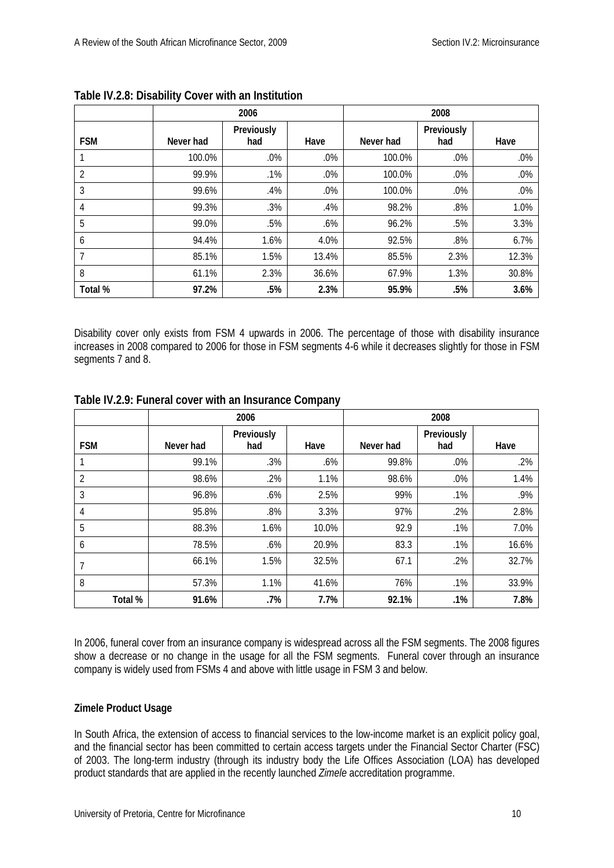|                | 2006      |                   |        | 2008      |                   |       |
|----------------|-----------|-------------------|--------|-----------|-------------------|-------|
| <b>FSM</b>     | Never had | Previously<br>had | Have   | Never had | Previously<br>had | Have  |
|                | 100.0%    | .0%               | .0%    | 100.0%    | $.0\%$            | .0%   |
| $\overline{2}$ | 99.9%     | .1%               | .0%    | 100.0%    | $.0\%$            | .0%   |
| 3              | 99.6%     | .4%               | $.0\%$ | 100.0%    | .0%               | .0%   |
| 4              | 99.3%     | .3%               | .4%    | 98.2%     | $.8\%$            | 1.0%  |
| 5              | 99.0%     | .5%               | .6%    | 96.2%     | .5%               | 3.3%  |
| 6              | 94.4%     | 1.6%              | 4.0%   | 92.5%     | .8%               | 6.7%  |
| 7              | 85.1%     | 1.5%              | 13.4%  | 85.5%     | 2.3%              | 12.3% |
| 8              | 61.1%     | 2.3%              | 36.6%  | 67.9%     | 1.3%              | 30.8% |
| Total %        | 97.2%     | .5%               | 2.3%   | 95.9%     | .5%               | 3.6%  |

<span id="page-11-0"></span>

Disability cover only exists from FSM 4 upwards in 2006. The percentage of those with disability insurance increases in 2008 compared to 2006 for those in FSM segments 4-6 while it decreases slightly for those in FSM segments 7 and 8.

|                | 2006      |                   |       | 2008      |                   |       |
|----------------|-----------|-------------------|-------|-----------|-------------------|-------|
| <b>FSM</b>     | Never had | Previously<br>had | Have  | Never had | Previously<br>had | Have  |
|                | 99.1%     | .3%               | .6%   | 99.8%     | $.0\%$            | .2%   |
| $\overline{2}$ | 98.6%     | .2%               | 1.1%  | 98.6%     | .0%               | 1.4%  |
| 3              | 96.8%     | .6%               | 2.5%  | 99%       | .1%               | .9%   |
| 4              | 95.8%     | .8%               | 3.3%  | 97%       | .2%               | 2.8%  |
| 5              | 88.3%     | 1.6%              | 10.0% | 92.9      | .1%               | 7.0%  |
| 6              | 78.5%     | .6%               | 20.9% | 83.3      | .1%               | 16.6% |
| 7              | 66.1%     | 1.5%              | 32.5% | 67.1      | .2%               | 32.7% |
| 8              | 57.3%     | 1.1%              | 41.6% | 76%       | .1%               | 33.9% |
| Total %        | 91.6%     | .7%               | 7.7%  | 92.1%     | .1%               | 7.8%  |

## <span id="page-11-1"></span>**Table IV.2.9: Funeral cover with an Insurance Company**

In 2006, funeral cover from an insurance company is widespread across all the FSM segments. The 2008 figures show a decrease or no change in the usage for all the FSM segments. Funeral cover through an insurance company is widely used from FSMs 4 and above with little usage in FSM 3 and below.

## **Zimele Product Usage**

In South Africa, the extension of access to financial services to the low-income market is an explicit policy goal, and the financial sector has been committed to certain access targets under the Financial Sector Charter (FSC) of 2003. The long-term industry (through its industry body the Life Offices Association (LOA) has developed product standards that are applied in the recently launched *Zimele* accreditation programme.